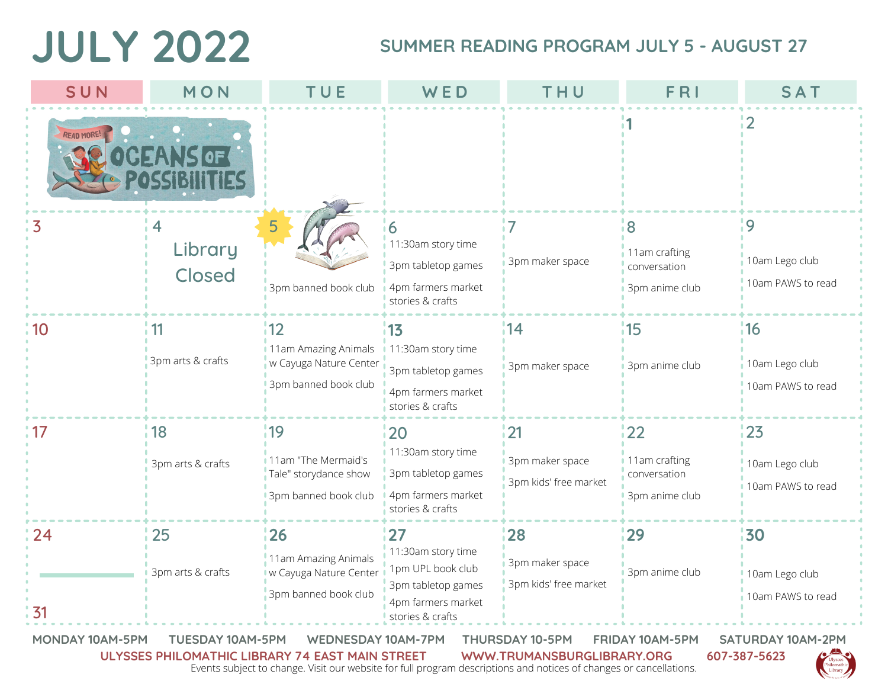## **JULY 2022**

## **SUMMER READING PROGRAM JULY 5 - AUGUST 27**

| SUN        | MON                      | TUE                                                                           | WED                                                                                                           | THU                                             | FRI                                                   | <b>SAT</b>                                 |
|------------|--------------------------|-------------------------------------------------------------------------------|---------------------------------------------------------------------------------------------------------------|-------------------------------------------------|-------------------------------------------------------|--------------------------------------------|
| READ MORE! |                          |                                                                               |                                                                                                               |                                                 |                                                       | $\overline{2}$                             |
| 3          | 4<br>Library<br>Closed   | 5<br>3pm banned book club                                                     | 6<br>11:30am story time<br>3pm tabletop games<br>4pm farmers market<br>stories & crafts                       | $\overline{7}$<br>3pm maker space               | 8<br>11am crafting<br>conversation<br>3pm anime club  | 9<br>10am Lego club<br>10am PAWS to read   |
| 10         | 11<br>3pm arts & crafts  | 112<br>11am Amazing Animals<br>w Cayuga Nature Center<br>3pm banned book club | 13<br>11:30am story time<br>3pm tabletop games<br>4pm farmers market<br>stories & crafts                      | 14<br>3pm maker space                           | 115<br>3pm anime club                                 | 116<br>10am Lego club<br>10am PAWS to read |
| 17         | 18 <br>3pm arts & crafts | 19<br>11am "The Mermaid's<br>Tale" storydance show<br>3pm banned book club    | 20<br>11:30am story time<br>3pm tabletop games<br>4pm farmers market<br>stories & crafts                      | 21<br>3pm maker space<br>3pm kids' free market  | 22<br>11am crafting<br>conversation<br>3pm anime club | 123<br>10am Lego club<br>10am PAWS to read |
| 24<br>31   | 25<br>3pm arts & crafts  | 26<br>11am Amazing Animals<br>w Cayuga Nature Center<br>3pm banned book club  | 27<br>11:30am story time<br>1pm UPL book club<br>3pm tabletop games<br>4pm farmers market<br>stories & crafts | 28 <br>3pm maker space<br>3pm kids' free market | 29<br>3pm anime club                                  | 30<br>10am Lego club<br>10am PAWS to read  |

**MONDAY 10AM-5PM TUESDAY 10AM-5PM WEDNESDAY 10AM-7PM THURSDAY 10-5PM FRIDAY 10AM-5PM SATURDAY 10AM-2PM ULYSSES PHILOMATHIC LIBRARY 74 EAST MAIN STREET WWW.TRUMANSBURGLIBRARY.ORG 607-387-5623**

Events subject to change. Visit our website for full program descriptions and notices of changes or cancellations.